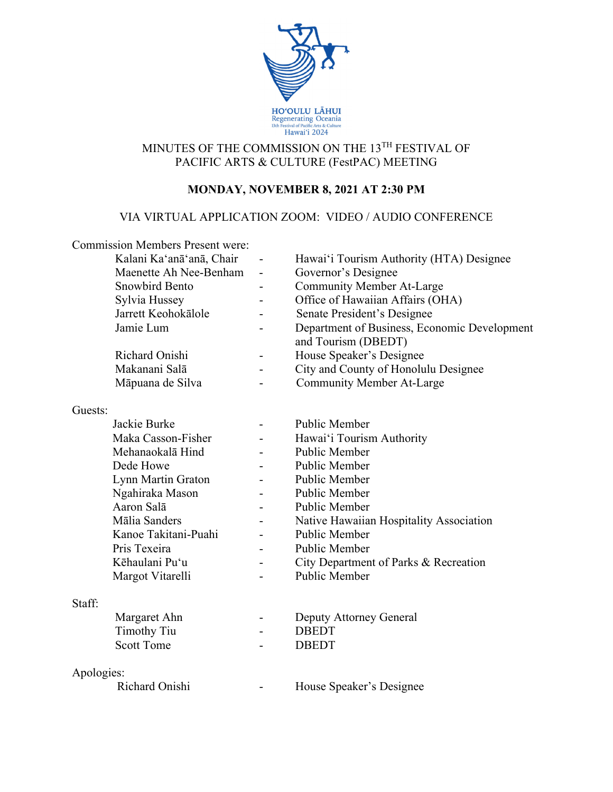

# MINUTES OF THE COMMISSION ON THE 13TH FESTIVAL OF PACIFIC ARTS & CULTURE (FestPAC) MEETING

# **MONDAY, NOVEMBER 8, 2021 AT 2:30 PM**

## VIA VIRTUAL APPLICATION ZOOM: VIDEO / AUDIO CONFERENCE

| <b>Commission Members Present were:</b> |                          |                |                                                                     |
|-----------------------------------------|--------------------------|----------------|---------------------------------------------------------------------|
|                                         | Kalani Ka'anā'anā, Chair |                | Hawai'i Tourism Authority (HTA) Designee                            |
|                                         | Maenette Ah Nee-Benham   | -              | Governor's Designee                                                 |
|                                         | Snowbird Bento           |                | <b>Community Member At-Large</b>                                    |
|                                         | Sylvia Hussey            |                | Office of Hawaiian Affairs (OHA)                                    |
|                                         | Jarrett Keohokālole      |                | Senate President's Designee                                         |
|                                         | Jamie Lum                | $\blacksquare$ | Department of Business, Economic Development<br>and Tourism (DBEDT) |
|                                         | Richard Onishi           |                | House Speaker's Designee                                            |
|                                         | Makanani Salā            |                | City and County of Honolulu Designee                                |
|                                         | Māpuana de Silva         |                | <b>Community Member At-Large</b>                                    |
| Guests:                                 |                          |                |                                                                     |
|                                         | Jackie Burke             | $\blacksquare$ | Public Member                                                       |
|                                         | Maka Casson-Fisher       | $\blacksquare$ | Hawai'i Tourism Authority                                           |
|                                         | Mehanaokalā Hind         |                | Public Member                                                       |
|                                         | Dede Howe                |                | Public Member                                                       |
|                                         | Lynn Martin Graton       |                | Public Member                                                       |
|                                         | Ngahiraka Mason          |                | Public Member                                                       |
|                                         | Aaron Salā               |                | Public Member                                                       |
|                                         | Mālia Sanders            |                | Native Hawaiian Hospitality Association                             |
|                                         | Kanoe Takitani-Puahi     |                | <b>Public Member</b>                                                |
|                                         | Pris Texeira             |                | Public Member                                                       |
|                                         | Kēhaulani Pu'u           |                | City Department of Parks & Recreation                               |
|                                         | Margot Vitarelli         |                | <b>Public Member</b>                                                |
| Staff:                                  |                          |                |                                                                     |
|                                         | Margaret Ahn             |                | Deputy Attorney General                                             |
|                                         | <b>Timothy Tiu</b>       |                | <b>DBEDT</b>                                                        |
|                                         | <b>Scott Tome</b>        |                | <b>DBEDT</b>                                                        |
| Apologies:                              |                          |                |                                                                     |
|                                         | Richard Onishi           |                | House Speaker's Designee                                            |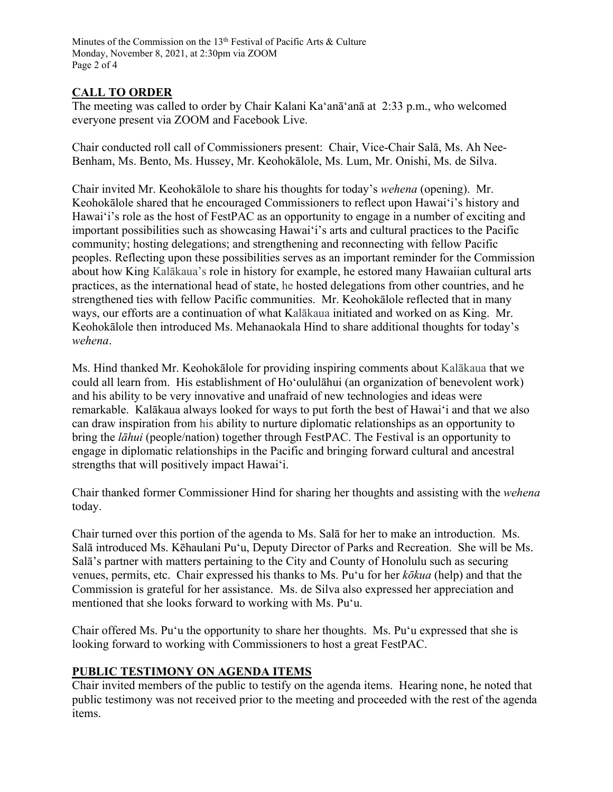Minutes of the Commission on the 13<sup>th</sup> Festival of Pacific Arts & Culture Monday, November 8, 2021, at 2:30pm via ZOOM Page 2 of 4

## **CALL TO ORDER**

The meeting was called to order by Chair Kalani Ka'anā'anā at 2:33 p.m., who welcomed everyone present via ZOOM and Facebook Live.

Chair conducted roll call of Commissioners present: Chair, Vice-Chair Salā, Ms. Ah Nee-Benham, Ms. Bento, Ms. Hussey, Mr. Keohokālole, Ms. Lum, Mr. Onishi, Ms. de Silva.

Chair invited Mr. Keohokālole to share his thoughts for today's *wehena* (opening). Mr. Keohokālole shared that he encouraged Commissioners to reflect upon Hawaiʻi's history and Hawaiʻi's role as the host of FestPAC as an opportunity to engage in a number of exciting and important possibilities such as showcasing Hawaiʻi's arts and cultural practices to the Pacific community; hosting delegations; and strengthening and reconnecting with fellow Pacific peoples. Reflecting upon these possibilities serves as an important reminder for the Commission about how King Kalākaua's role in history for example, he estored many Hawaiian cultural arts practices, as the international head of state, he hosted delegations from other countries, and he strengthened ties with fellow Pacific communities. Mr. Keohokālole reflected that in many ways, our efforts are a continuation of what Kalākaua initiated and worked on as King. Mr. Keohokālole then introduced Ms. Mehanaokala Hind to share additional thoughts for today's *wehena*.

Ms. Hind thanked Mr. Keohokālole for providing inspiring comments about Kalākaua that we could all learn from. His establishment of Hoʻoululāhui (an organization of benevolent work) and his ability to be very innovative and unafraid of new technologies and ideas were remarkable. Kalākaua always looked for ways to put forth the best of Hawaiʻi and that we also can draw inspiration from his ability to nurture diplomatic relationships as an opportunity to bring the *lāhui* (people/nation) together through FestPAC. The Festival is an opportunity to engage in diplomatic relationships in the Pacific and bringing forward cultural and ancestral strengths that will positively impact Hawaiʻi.

Chair thanked former Commissioner Hind for sharing her thoughts and assisting with the *wehena* today.

Chair turned over this portion of the agenda to Ms. Salā for her to make an introduction. Ms. Salā introduced Ms. Kēhaulani Puʻu, Deputy Director of Parks and Recreation. She will be Ms. Salā's partner with matters pertaining to the City and County of Honolulu such as securing venues, permits, etc. Chair expressed his thanks to Ms. Puʻu for her *kōkua* (help) and that the Commission is grateful for her assistance. Ms. de Silva also expressed her appreciation and mentioned that she looks forward to working with Ms. Puʻu.

Chair offered Ms. Puʻu the opportunity to share her thoughts. Ms. Puʻu expressed that she is looking forward to working with Commissioners to host a great FestPAC.

## **PUBLIC TESTIMONY ON AGENDA ITEMS**

Chair invited members of the public to testify on the agenda items. Hearing none, he noted that public testimony was not received prior to the meeting and proceeded with the rest of the agenda items.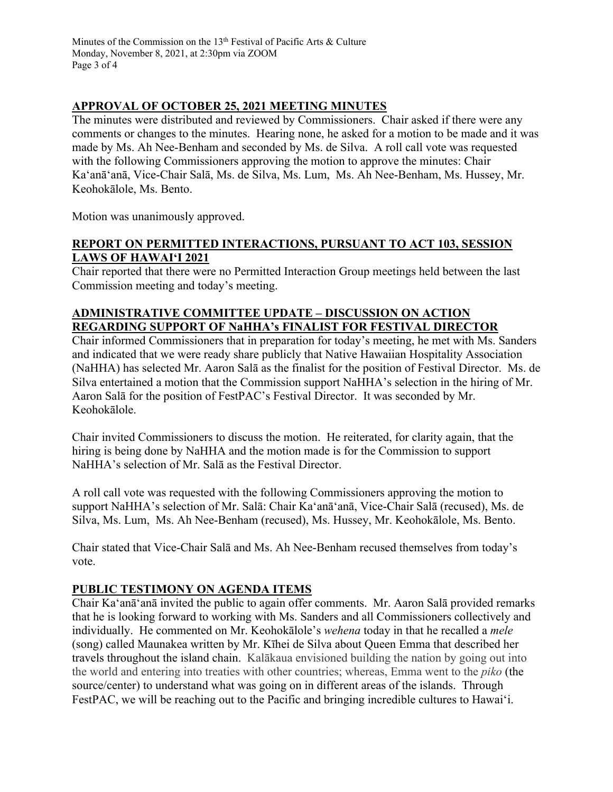Minutes of the Commission on the 13<sup>th</sup> Festival of Pacific Arts & Culture Monday, November 8, 2021, at 2:30pm via ZOOM Page 3 of 4

#### **APPROVAL OF OCTOBER 25, 2021 MEETING MINUTES**

The minutes were distributed and reviewed by Commissioners. Chair asked if there were any comments or changes to the minutes. Hearing none, he asked for a motion to be made and it was made by Ms. Ah Nee-Benham and seconded by Ms. de Silva. A roll call vote was requested with the following Commissioners approving the motion to approve the minutes: Chair Ka'anā'anā, Vice-Chair Salā, Ms. de Silva, Ms. Lum, Ms. Ah Nee-Benham, Ms. Hussey, Mr. Keohokālole, Ms. Bento.

Motion was unanimously approved.

#### **REPORT ON PERMITTED INTERACTIONS, PURSUANT TO ACT 103, SESSION LAWS OF HAWAIʻI 2021**

Chair reported that there were no Permitted Interaction Group meetings held between the last Commission meeting and today's meeting.

## **ADMINISTRATIVE COMMITTEE UPDATE – DISCUSSION ON ACTION REGARDING SUPPORT OF NaHHA's FINALIST FOR FESTIVAL DIRECTOR**

Chair informed Commissioners that in preparation for today's meeting, he met with Ms. Sanders and indicated that we were ready share publicly that Native Hawaiian Hospitality Association (NaHHA) has selected Mr. Aaron Salā as the finalist for the position of Festival Director. Ms. de Silva entertained a motion that the Commission support NaHHA's selection in the hiring of Mr. Aaron Salā for the position of FestPAC's Festival Director. It was seconded by Mr. Keohokālole.

Chair invited Commissioners to discuss the motion. He reiterated, for clarity again, that the hiring is being done by NaHHA and the motion made is for the Commission to support NaHHA's selection of Mr. Salā as the Festival Director.

A roll call vote was requested with the following Commissioners approving the motion to support NaHHA's selection of Mr. Salā: Chair Ka'anā'anā, Vice-Chair Salā (recused), Ms. de Silva, Ms. Lum, Ms. Ah Nee-Benham (recused), Ms. Hussey, Mr. Keohokālole, Ms. Bento.

Chair stated that Vice-Chair Salā and Ms. Ah Nee-Benham recused themselves from today's vote.

## **PUBLIC TESTIMONY ON AGENDA ITEMS**

Chair Ka'anā'anā invited the public to again offer comments. Mr. Aaron Salā provided remarks that he is looking forward to working with Ms. Sanders and all Commissioners collectively and individually. He commented on Mr. Keohokālole's *wehena* today in that he recalled a *mele*  (song) called Maunakea written by Mr. Kīhei de Silva about Queen Emma that described her travels throughout the island chain. Kalākaua envisioned building the nation by going out into the world and entering into treaties with other countries; whereas, Emma went to the *piko* (the source/center) to understand what was going on in different areas of the islands. Through FestPAC, we will be reaching out to the Pacific and bringing incredible cultures to Hawaiʻi.